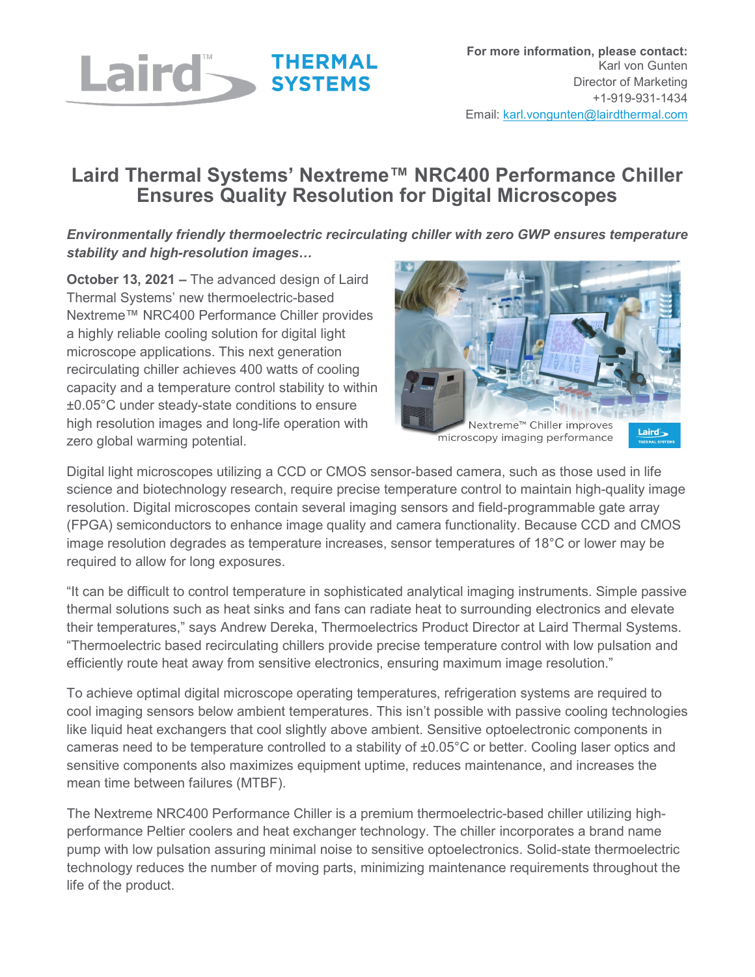

## **Laird Thermal Systems' Nextreme™ NRC400 Performance Chiller Ensures Quality Resolution for Digital Microscopes**

*Environmentally friendly thermoelectric recirculating chiller with zero GWP ensures temperature stability and high-resolution images…*

**October 13, 2021 –** The advanced design of Laird Thermal Systems' new thermoelectric-based Nextreme™ NRC400 Performance Chiller provides a highly reliable cooling solution for digital light microscope applications. This next generation recirculating chiller achieves 400 watts of cooling capacity and a temperature control stability to within ±0.05°C under steady-state conditions to ensure high resolution images and long-life operation with zero global warming potential.



microscopy imaging performance

Digital light microscopes utilizing a CCD or CMOS sensor-based camera, such as those used in life science and biotechnology research, require precise temperature control to maintain high-quality image resolution. Digital microscopes contain several imaging sensors and field-programmable gate array (FPGA) semiconductors to enhance image quality and camera functionality. Because CCD and CMOS image resolution degrades as temperature increases, sensor temperatures of 18°C or lower may be required to allow for long exposures.

"It can be difficult to control temperature in sophisticated analytical imaging instruments. Simple passive thermal solutions such as heat sinks and fans can radiate heat to surrounding electronics and elevate their temperatures," says Andrew Dereka, Thermoelectrics Product Director at Laird Thermal Systems. "Thermoelectric based recirculating chillers provide precise temperature control with low pulsation and efficiently route heat away from sensitive electronics, ensuring maximum image resolution."

To achieve optimal digital microscope operating temperatures, refrigeration systems are required to cool imaging sensors below ambient temperatures. This isn't possible with passive cooling technologies like liquid heat exchangers that cool slightly above ambient. Sensitive optoelectronic components in cameras need to be temperature controlled to a stability of ±0.05°C or better. Cooling laser optics and sensitive components also maximizes equipment uptime, reduces maintenance, and increases the mean time between failures (MTBF).

The Nextreme NRC400 Performance Chiller is a premium thermoelectric-based chiller utilizing highperformance Peltier coolers and heat exchanger technology. The chiller incorporates a brand name pump with low pulsation assuring minimal noise to sensitive optoelectronics. Solid-state thermoelectric technology reduces the number of moving parts, minimizing maintenance requirements throughout the life of the product.